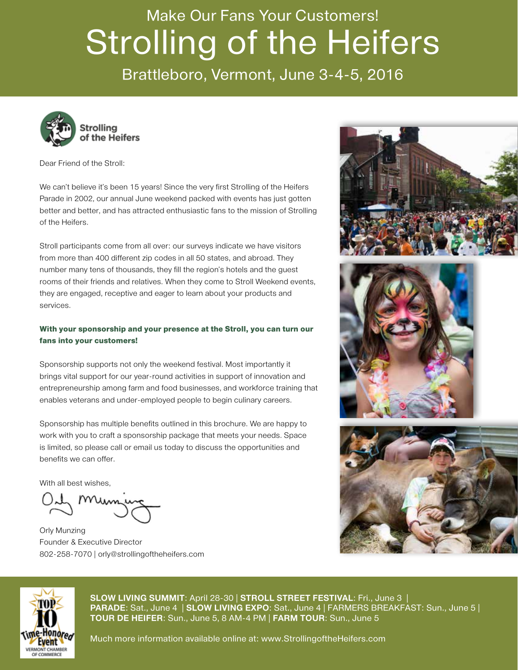### Make Our Fans Your Customers! Strolling of the Heifers

Brattleboro, Vermont, June 3-4-5, 2016



Dear Friend of the Stroll:

We can't believe it's been 15 years! Since the very first Strolling of the Heifers Parade in 2002, our annual June weekend packed with events has just gotten better and better, and has attracted enthusiastic fans to the mission of Strolling of the Heifers.

Stroll participants come from all over: our surveys indicate we have visitors from more than 400 different zip codes in all 50 states, and abroad. They number many tens of thousands, they fill the region's hotels and the guest rooms of their friends and relatives. When they come to Stroll Weekend events, they are engaged, receptive and eager to learn about your products and services.

#### With your sponsorship and your presence at the Stroll, you can turn our fans into your customers!

Sponsorship supports not only the weekend festival. Most importantly it brings vital support for our year-round activities in support of innovation and entrepreneurship among farm and food businesses, and workforce training that enables veterans and under-employed people to begin culinary careers.

Sponsorship has multiple benefits outlined in this brochure. We are happy to work with you to craft a sponsorship package that meets your needs. Space is limited, so please call or email us today to discuss the opportunities and benefits we can offer.

With all best wishes,

Orly Munzing Founder & Executive Director 802-258-7070 | orly@strollingoftheheifers.com









**SLOW LIVING SUMMIT**: April 28-30 | **STROLL STREET FESTIVAL**: Fri., June 3 | **PARADE**: Sat., June 4 | **SLOW LIVING EXPO**: Sat., June 4 | FARMERS BREAKFAST: Sun., June 5 | **TOUR DE HEIFER**: Sun., June 5, 8 AM-4 PM | **FARM TOUR**: Sun., June 5

Much more information available online at: www.StrollingoftheHeifers.com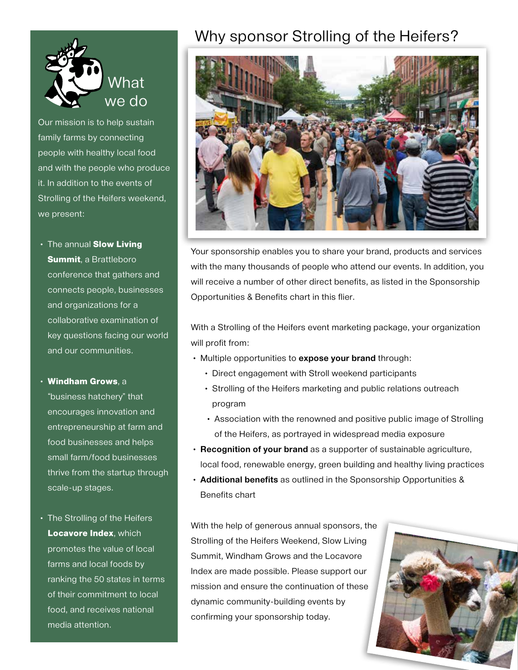

Our mission is to help sustain family farms by connecting people with healthy local food and with the people who produce it. In addition to the events of Strolling of the Heifers weekend, we present:

• The annual Slow Living **Summit, a Brattleboro** conference that gathers and connects people, businesses and organizations for a collaborative examination of key questions facing our world and our communities.

• Windham Grows, a

"business hatchery" that encourages innovation and entrepreneurship at farm and food businesses and helps small farm/food businesses thrive from the startup through scale-up stages.

• The Strolling of the Heifers **Locavore Index, which** promotes the value of local farms and local foods by ranking the 50 states in terms of their commitment to local food, and receives national media attention.

### Why sponsor Strolling of the Heifers?



Your sponsorship enables you to share your brand, products and services with the many thousands of people who attend our events. In addition, you will receive a number of other direct benefits, as listed in the Sponsorship Opportunities & Benefits chart in this flier.

With a Strolling of the Heifers event marketing package, your organization will profit from:

- Multiple opportunities to **expose your brand** through:
	- Direct engagement with Stroll weekend participants
	- Strolling of the Heifers marketing and public relations outreach program
	- Association with the renowned and positive public image of Strolling of the Heifers, as portrayed in widespread media exposure
- **Recognition of your brand** as a supporter of sustainable agriculture, local food, renewable energy, green building and healthy living practices
- **Additional benefits** as outlined in the Sponsorship Opportunities & Benefits chart

With the help of generous annual sponsors, the Strolling of the Heifers Weekend, Slow Living Summit, Windham Grows and the Locavore Index are made possible. Please support our mission and ensure the continuation of these dynamic community-building events by confirming your sponsorship today.

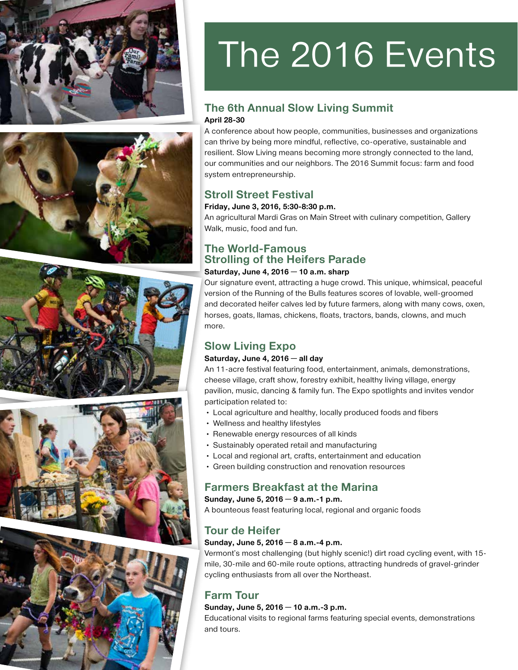









# The 2016 Events

#### **The 6th Annual Slow Living Summit April 28-30**

A conference about how people, communities, businesses and organizations can thrive by being more mindful, reflective, co-operative, sustainable and resilient. Slow Living means becoming more strongly connected to the land, our communities and our neighbors. The 2016 Summit focus: farm and food system entrepreneurship.

#### **Stroll Street Festival**

#### **Friday, June 3, 2016, 5:30-8:30 p.m.**

An agricultural Mardi Gras on Main Street with culinary competition, Gallery Walk, music, food and fun.

#### **The World-Famous Strolling of the Heifers Parade**

#### **Saturday, June 4, 2016 — 10 a.m. sharp**

Our signature event, attracting a huge crowd. This unique, whimsical, peaceful version of the Running of the Bulls features scores of lovable, well-groomed and decorated heifer calves led by future farmers, along with many cows, oxen, horses, goats, llamas, chickens, floats, tractors, bands, clowns, and much more.

#### **Slow Living Expo**

#### **Saturday, June 4, 2016 — all day**

An 11-acre festival featuring food, entertainment, animals, demonstrations, cheese village, craft show, forestry exhibit, healthy living village, energy pavilion, music, dancing & family fun. The Expo spotlights and invites vendor participation related to:

- Local agriculture and healthy, locally produced foods and fibers
- Wellness and healthy lifestyles
- Renewable energy resources of all kinds
- Sustainably operated retail and manufacturing
- Local and regional art, crafts, entertainment and education
- Green building construction and renovation resources

#### **Farmers Breakfast at the Marina**

**Sunday, June 5, 2016 — 9 a.m.-1 p.m.**

A bounteous feast featuring local, regional and organic foods

#### **Tour de Heifer**

#### **Sunday, June 5, 2016 — 8 a.m.-4 p.m.**

Vermont's most challenging (but highly scenic!) dirt road cycling event, with 15 mile, 30-mile and 60-mile route options, attracting hundreds of gravel-grinder cycling enthusiasts from all over the Northeast.

#### **Farm Tour**

#### **Sunday, June 5, 2016 — 10 a.m.-3 p.m.**

Educational visits to regional farms featuring special events, demonstrations and tours.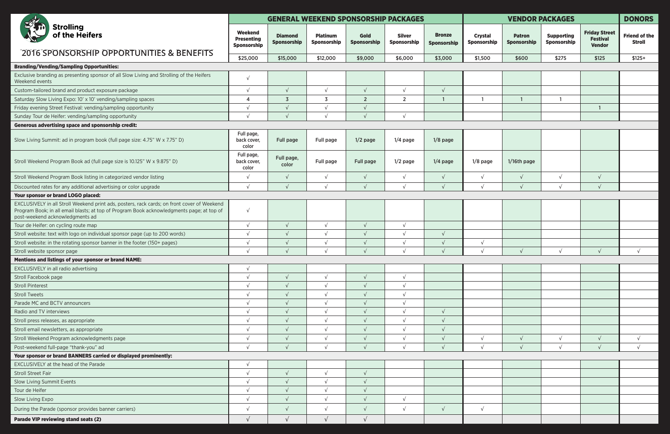| <b>Strolling</b><br>of the Heifers                                                                                                                                                                                          | <b>GENERAL WEEKEND SPONSORSHIP PACKAGES</b>               |                               |                                |                            |                              |                              | <b>VENDOR PACKAGES</b>        |                              |                                  |                                                          | <b>DONORS</b>                         |
|-----------------------------------------------------------------------------------------------------------------------------------------------------------------------------------------------------------------------------|-----------------------------------------------------------|-------------------------------|--------------------------------|----------------------------|------------------------------|------------------------------|-------------------------------|------------------------------|----------------------------------|----------------------------------------------------------|---------------------------------------|
|                                                                                                                                                                                                                             | <b>Weekend</b><br><b>Presenting</b><br><b>Sponsorship</b> | <b>Diamond</b><br>Sponsorship | <b>Platinum</b><br>Sponsorship | <b>Gold</b><br>Sponsorship | <b>Silver</b><br>Sponsorship | <b>Bronze</b><br>Sponsorship | <b>Crystal</b><br>Sponsorship | <b>Patron</b><br>Sponsorship | <b>Supporting</b><br>Sponsorship | <b>Friday Street</b><br><b>Festival</b><br><b>Vendor</b> | <b>Friend of the</b><br><b>Stroll</b> |
| 2016 SPONSORSHIP OPPORTUNITIES & BENEFITS                                                                                                                                                                                   | \$25,000                                                  | \$15,000                      | \$12,000                       | \$9,000                    | \$6,000                      | \$3,000                      | \$1,500                       | \$600                        | \$275                            | \$125                                                    | $$125+$                               |
| <b>Branding/Vending/Sampling Opportunities:</b>                                                                                                                                                                             |                                                           |                               |                                |                            |                              |                              |                               |                              |                                  |                                                          |                                       |
| Exclusive branding as presenting sponsor of all Slow Living and Strolling of the Heifers<br>Weekend events                                                                                                                  | $\sqrt{ }$                                                |                               |                                |                            |                              |                              |                               |                              |                                  |                                                          |                                       |
| Custom-tailored brand and product exposure package                                                                                                                                                                          | $\sqrt{ }$                                                | $\sqrt{ }$                    | $\sqrt{ }$                     | $\sqrt{ }$                 | $\sqrt{ }$                   | $\sqrt{ }$                   |                               |                              |                                  |                                                          |                                       |
| Saturday Slow Living Expo: 10' x 10' vending/sampling spaces                                                                                                                                                                | 4                                                         | $\overline{3}$                | 3                              | $\overline{2}$             | $\overline{2}$               |                              |                               |                              |                                  |                                                          |                                       |
| Friday evening Street Festival: vending/sampling opportunity                                                                                                                                                                | $\sqrt{ }$                                                | $\sqrt{ }$                    | $\sqrt{ }$                     | $\sqrt{ }$                 |                              |                              |                               |                              |                                  |                                                          |                                       |
| Sunday Tour de Heifer: vending/sampling opportunity                                                                                                                                                                         |                                                           |                               | $\sqrt{ }$                     | $\sqrt{ }$                 | $\sqrt{ }$                   |                              |                               |                              |                                  |                                                          |                                       |
| <b>Generous advertising space and sponsorship credit:</b>                                                                                                                                                                   |                                                           |                               |                                |                            |                              |                              |                               |                              |                                  |                                                          |                                       |
| Slow Living Summit: ad in program book (full page size: 4.75" W x 7.75" D)                                                                                                                                                  | Full page,<br>back cover,<br>color                        | Full page                     | Full page                      | $1/2$ page                 | $1/4$ page                   | $1/8$ page                   |                               |                              |                                  |                                                          |                                       |
| Stroll Weekend Program Book ad (full page size is 10.125" W x 9.875" D)                                                                                                                                                     | Full page,<br>back cover,<br>color                        | Full page,<br>color           | Full page                      | <b>Full page</b>           | $1/2$ page                   | $1/4$ page                   | $1/8$ page                    | 1/16th page                  |                                  |                                                          |                                       |
| Stroll Weekend Program Book listing in categorized vendor listing                                                                                                                                                           | $\sqrt{ }$                                                | $\sqrt{ }$                    | $\sqrt{ }$                     | $\sqrt{ }$                 | $\sqrt{ }$                   | $\sqrt{ }$                   | $\sqrt{}$                     | $\sqrt{ }$                   | $\sqrt{ }$                       |                                                          |                                       |
| Discounted rates for any additional advertising or color upgrade                                                                                                                                                            | $\sqrt{ }$                                                | $\sqrt{ }$                    | $\sqrt{ }$                     | $\sqrt{ }$                 | $\sqrt{ }$                   | $\sqrt{ }$                   | $\sqrt{ }$                    |                              | $\sqrt{ }$                       | $\sqrt{ }$                                               |                                       |
| Your sponsor or brand LOGO placed:                                                                                                                                                                                          |                                                           |                               |                                |                            |                              |                              |                               |                              |                                  |                                                          |                                       |
| EXCLUSIVELY in all Stroll Weekend print ads, posters, rack cards; on front cover of Weekend<br>Program Book; in all email blasts; at top of Program Book acknowledgments page; at top of<br>post-weekend acknowledgments ad | $\sqrt{ }$                                                |                               |                                |                            |                              |                              |                               |                              |                                  |                                                          |                                       |
| Tour de Heifer: on cycling route map                                                                                                                                                                                        | $\sqrt{ }$                                                | $\sqrt{ }$                    |                                | $\sqrt{ }$                 | $\sqrt{ }$                   |                              |                               |                              |                                  |                                                          |                                       |
| Stroll website: text with logo on individual sponsor page (up to 200 words)                                                                                                                                                 | $\sqrt{ }$                                                | $\sqrt{ }$                    | $\sqrt{ }$                     | $\sqrt{ }$                 | $\sqrt{ }$                   | $\sqrt{ }$                   |                               |                              |                                  |                                                          |                                       |
| Stroll website: in the rotating sponsor banner in the footer (150+ pages)                                                                                                                                                   | $\sqrt{ }$                                                | $\sqrt{ }$                    | $\sqrt{ }$                     | $\sqrt{ }$                 | $\sqrt{ }$                   |                              | $\sqrt{}$                     |                              |                                  |                                                          |                                       |
| Stroll website sponsor page                                                                                                                                                                                                 |                                                           | $\sqrt{ }$                    | $\sqrt{ }$                     |                            | $\sqrt{ }$                   | $\sqrt{ }$                   | $\sqrt{ }$                    |                              | $\sqrt{ }$                       | $\sqrt{ }$                                               |                                       |
| Mentions and listings of your sponsor or brand NAME:                                                                                                                                                                        |                                                           |                               |                                |                            |                              |                              |                               |                              |                                  |                                                          |                                       |
| EXCLUSIVELY in all radio advertising                                                                                                                                                                                        | $\sqrt{ }$                                                |                               |                                |                            |                              |                              |                               |                              |                                  |                                                          |                                       |
| Stroll Facebook page                                                                                                                                                                                                        | $\sqrt{ }$                                                | $\sqrt{ }$                    | $\sqrt{ }$                     | $\sqrt{ }$                 | $\sqrt{ }$                   |                              |                               |                              |                                  |                                                          |                                       |
| <b>Stroll Pinterest</b>                                                                                                                                                                                                     | $\sqrt{ }$                                                | $\sqrt{ }$                    | $\sqrt{ }$                     | $\sqrt{ }$                 | $\sqrt{ }$                   |                              |                               |                              |                                  |                                                          |                                       |
| <b>Stroll Tweets</b>                                                                                                                                                                                                        |                                                           |                               |                                |                            |                              |                              |                               |                              |                                  |                                                          |                                       |
| Parade MC and BCTV announcers                                                                                                                                                                                               | $\sqrt{ }$                                                | $\sqrt{ }$                    | $\sqrt{ }$                     | $\sqrt{ }$                 | $\sqrt{ }$                   |                              |                               |                              |                                  |                                                          |                                       |
| Radio and TV interviews                                                                                                                                                                                                     | $\sqrt{ }$                                                | $\sqrt{ }$                    | $\sqrt{ }$                     | $\sqrt{ }$                 | $\sqrt{ }$                   | $\sqrt{ }$                   |                               |                              |                                  |                                                          |                                       |
| Stroll press releases, as appropriate                                                                                                                                                                                       |                                                           | $\sqrt{ }$                    | $\sqrt{ }$                     | $\sqrt{ }$                 |                              |                              |                               |                              |                                  |                                                          |                                       |
| Stroll email newsletters, as appropriate                                                                                                                                                                                    | $\sqrt{ }$                                                | $\sqrt{ }$                    | $\sqrt{ }$                     | $\sqrt{ }$                 | $\sqrt{ }$                   | $\sqrt{ }$                   |                               |                              |                                  |                                                          |                                       |
| Stroll Weekend Program acknowledgments page                                                                                                                                                                                 | $\sqrt{ }$                                                | $\sqrt{ }$                    | $\sqrt{ }$                     | $\sqrt{ }$                 | $\sqrt{ }$                   |                              |                               |                              | $\sqrt{ }$                       |                                                          | $\sqrt{ }$                            |
| Post-weekend full-page "thank-you" ad                                                                                                                                                                                       |                                                           |                               |                                |                            |                              |                              |                               |                              | $\sqrt{ }$                       |                                                          | $\sqrt{ }$                            |
| Your sponsor or brand BANNERS carried or displayed prominently:                                                                                                                                                             |                                                           |                               |                                |                            |                              |                              |                               |                              |                                  |                                                          |                                       |
| EXCLUSIVELY at the head of the Parade                                                                                                                                                                                       | $\sqrt{ }$                                                |                               |                                |                            |                              |                              |                               |                              |                                  |                                                          |                                       |
| <b>Stroll Street Fair</b>                                                                                                                                                                                                   |                                                           | $\sqrt{ }$                    |                                | $\sqrt{ }$                 |                              |                              |                               |                              |                                  |                                                          |                                       |
| Slow Living Summit Events                                                                                                                                                                                                   | $\sqrt{ }$                                                | $\sqrt{ }$                    | $\sqrt{ }$                     | $\sqrt{ }$                 |                              |                              |                               |                              |                                  |                                                          |                                       |
| Tour de Heifer                                                                                                                                                                                                              | $\sqrt{ }$                                                | $\sqrt{ }$                    | $\sqrt{ }$                     | $\sqrt{ }$                 |                              |                              |                               |                              |                                  |                                                          |                                       |
| Slow Living Expo                                                                                                                                                                                                            | $\sqrt{ }$                                                | $\sqrt{ }$                    | $\sqrt{ }$                     | $\sqrt{ }$                 | $\sqrt{ }$                   |                              |                               |                              |                                  |                                                          |                                       |
| During the Parade (sponsor provides banner carriers)                                                                                                                                                                        | $\sqrt{ }$                                                | $\sqrt{ }$                    | $\sqrt{ }$                     | $\sqrt{ }$                 | $\sqrt{ }$                   | $\sqrt{ }$                   | $\sqrt{ }$                    |                              |                                  |                                                          |                                       |
| Parade VIP reviewing stand seats (2)                                                                                                                                                                                        |                                                           | $\sqrt{ }$                    | $\sqrt{ }$                     |                            |                              |                              |                               |                              |                                  |                                                          |                                       |